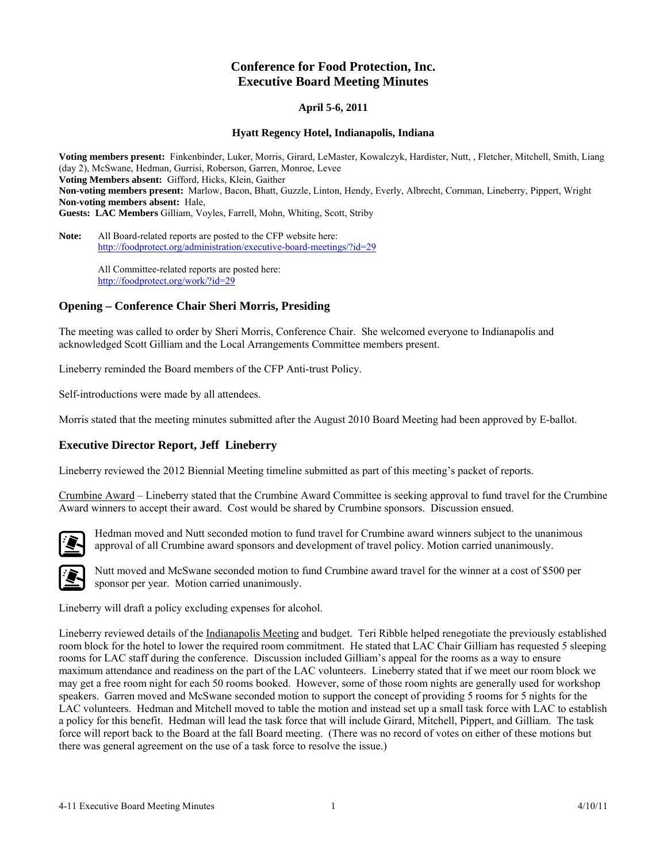# **Conference for Food Protection, Inc. Executive Board Meeting Minutes**

### **April 5-6, 2011**

#### **Hyatt Regency Hotel, Indianapolis, Indiana**

**Voting members present:** Finkenbinder, Luker, Morris, Girard, LeMaster, Kowalczyk, Hardister, Nutt, , Fletcher, Mitchell, Smith, Liang (day 2), McSwane, Hedman, Gurrisi, Roberson, Garren, Monroe, Levee **Voting Members absent:** Gifford, Hicks, Klein, Gaither **Non-voting members present:** Marlow, Bacon, Bhatt, Guzzle, Linton, Hendy, Everly, Albrecht, Cornman, Lineberry, Pippert, Wright **Non-voting members absent:** Hale, **Guests: LAC Members** Gilliam, Voyles, Farrell, Mohn, Whiting, Scott, Striby

**Note:** All Board-related reports are posted to the CFP website here: <http://foodprotect.org/administration/executive-board-meetings/?id=29>

> All Committee-related reports are posted here: <http://foodprotect.org/work/?id=29>

### **Opening – Conference Chair Sheri Morris, Presiding**

The meeting was called to order by Sheri Morris, Conference Chair. She welcomed everyone to Indianapolis and acknowledged Scott Gilliam and the Local Arrangements Committee members present.

Lineberry reminded the Board members of the CFP Anti-trust Policy.

Self-introductions were made by all attendees.

Morris stated that the meeting minutes submitted after the August 2010 Board Meeting had been approved by E-ballot.

#### **Executive Director Report, Jeff Lineberry**

Lineberry reviewed the 2012 Biennial Meeting timeline submitted as part of this meeting's packet of reports.

Crumbine Award – Lineberry stated that the Crumbine Award Committee is seeking approval to fund travel for the Crumbine Award winners to accept their award. Cost would be shared by Crumbine sponsors. Discussion ensued.



Hedman moved and Nutt seconded motion to fund travel for Crumbine award winners subject to the unanimous approval of all Crumbine award sponsors and development of travel policy. Motion carried unanimously.



Nutt moved and McSwane seconded motion to fund Crumbine award travel for the winner at a cost of \$500 per sponsor per year. Motion carried unanimously.

Lineberry will draft a policy excluding expenses for alcohol.

Lineberry reviewed details of the Indianapolis Meeting and budget. Teri Ribble helped renegotiate the previously established room block for the hotel to lower the required room commitment. He stated that LAC Chair Gilliam has requested 5 sleeping rooms for LAC staff during the conference. Discussion included Gilliam's appeal for the rooms as a way to ensure maximum attendance and readiness on the part of the LAC volunteers. Lineberry stated that if we meet our room block we may get a free room night for each 50 rooms booked. However, some of those room nights are generally used for workshop speakers. Garren moved and McSwane seconded motion to support the concept of providing 5 rooms for 5 nights for the LAC volunteers. Hedman and Mitchell moved to table the motion and instead set up a small task force with LAC to establish a policy for this benefit. Hedman will lead the task force that will include Girard, Mitchell, Pippert, and Gilliam. The task force will report back to the Board at the fall Board meeting. (There was no record of votes on either of these motions but there was general agreement on the use of a task force to resolve the issue.)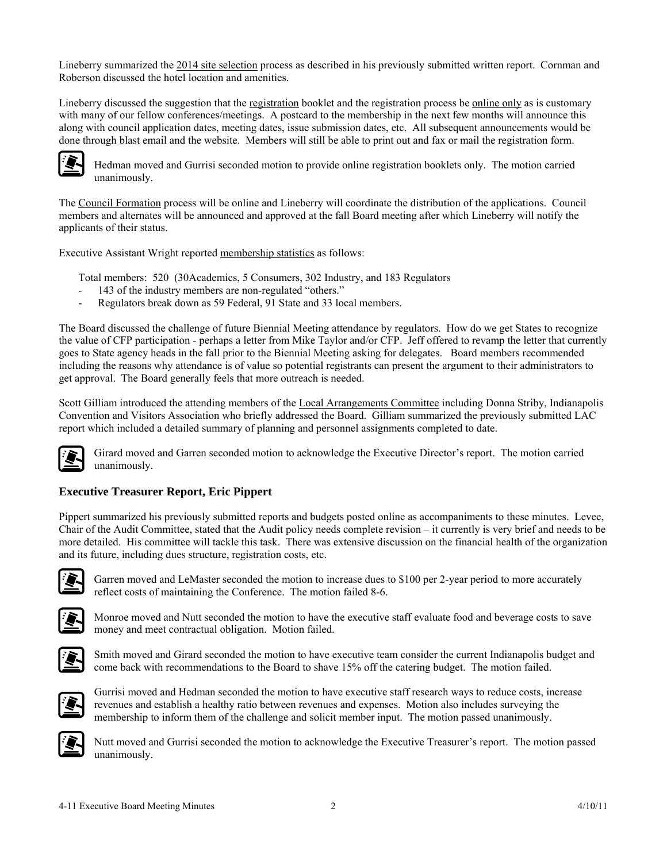Lineberry summarized the 2014 site selection process as described in his previously submitted written report. Cornman and Roberson discussed the hotel location and amenities.

Lineberry discussed the suggestion that the registration booklet and the registration process be online only as is customary with many of our fellow conferences/meetings. A postcard to the membership in the next few months will announce this along with council application dates, meeting dates, issue submission dates, etc. All subsequent announcements would be done through blast email and the website. Members will still be able to print out and fax or mail the registration form.



Hedman moved and Gurrisi seconded motion to provide online registration booklets only. The motion carried unanimously.

The Council Formation process will be online and Lineberry will coordinate the distribution of the applications. Council members and alternates will be announced and approved at the fall Board meeting after which Lineberry will notify the applicants of their status.

Executive Assistant Wright reported membership statistics as follows:

Total members: 520 (30Academics, 5 Consumers, 302 Industry, and 183 Regulators

- 143 of the industry members are non-regulated "others."
- Regulators break down as 59 Federal, 91 State and 33 local members.

The Board discussed the challenge of future Biennial Meeting attendance by regulators. How do we get States to recognize the value of CFP participation - perhaps a letter from Mike Taylor and/or CFP. Jeff offered to revamp the letter that currently goes to State agency heads in the fall prior to the Biennial Meeting asking for delegates. Board members recommended including the reasons why attendance is of value so potential registrants can present the argument to their administrators to get approval. The Board generally feels that more outreach is needed.

Scott Gilliam introduced the attending members of the Local Arrangements Committee including Donna Striby, Indianapolis Convention and Visitors Association who briefly addressed the Board. Gilliam summarized the previously submitted LAC report which included a detailed summary of planning and personnel assignments completed to date.



Girard moved and Garren seconded motion to acknowledge the Executive Director's report. The motion carried unanimously.

## **Executive Treasurer Report, Eric Pippert**

Pippert summarized his previously submitted reports and budgets posted online as accompaniments to these minutes. Levee, Chair of the Audit Committee, stated that the Audit policy needs complete revision – it currently is very brief and needs to be more detailed. His committee will tackle this task. There was extensive discussion on the financial health of the organization and its future, including dues structure, registration costs, etc.



Garren moved and LeMaster seconded the motion to increase dues to \$100 per 2-year period to more accurately reflect costs of maintaining the Conference. The motion failed 8-6.



Monroe moved and Nutt seconded the motion to have the executive staff evaluate food and beverage costs to save money and meet contractual obligation. Motion failed.



Smith moved and Girard seconded the motion to have executive team consider the current Indianapolis budget and come back with recommendations to the Board to shave 15% off the catering budget. The motion failed.



Gurrisi moved and Hedman seconded the motion to have executive staff research ways to reduce costs, increase revenues and establish a healthy ratio between revenues and expenses. Motion also includes surveying the membership to inform them of the challenge and solicit member input. The motion passed unanimously.



Nutt moved and Gurrisi seconded the motion to acknowledge the Executive Treasurer's report. The motion passed unanimously.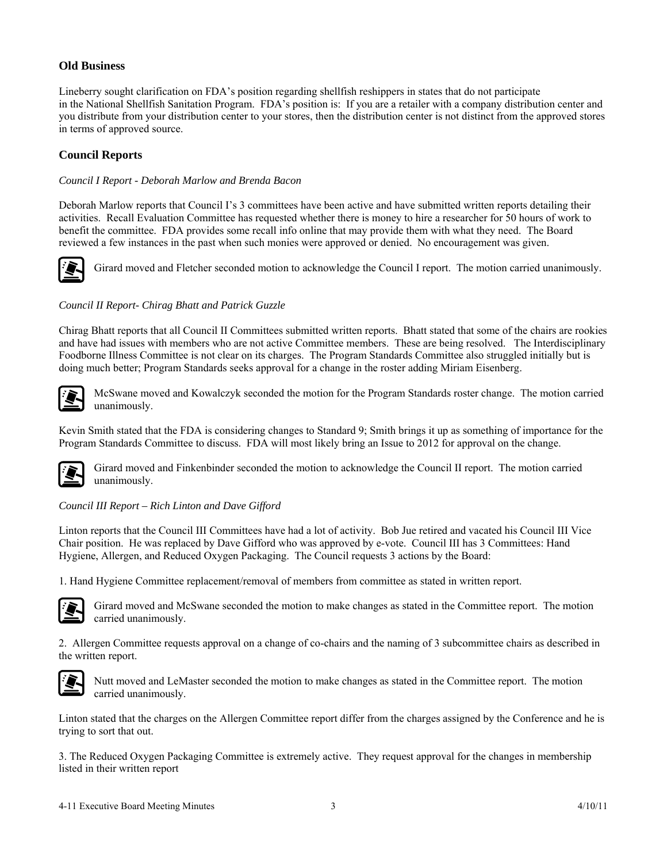## **Old Business**

Lineberry sought clarification on FDA's position regarding shellfish reshippers in states that do not participate in the National Shellfish Sanitation Program. FDA's position is: If you are a retailer with a company distribution center and you distribute from your distribution center to your stores, then the distribution center is not distinct from the approved stores in terms of approved source.

## **Council Reports**

### *Council I Report - Deborah Marlow and Brenda Bacon*

Deborah Marlow reports that Council I's 3 committees have been active and have submitted written reports detailing their activities. Recall Evaluation Committee has requested whether there is money to hire a researcher for 50 hours of work to benefit the committee. FDA provides some recall info online that may provide them with what they need. The Board reviewed a few instances in the past when such monies were approved or denied. No encouragement was given.



Girard moved and Fletcher seconded motion to acknowledge the Council I report. The motion carried unanimously.

### *Council II Report- Chirag Bhatt and Patrick Guzzle*

Chirag Bhatt reports that all Council II Committees submitted written reports. Bhatt stated that some of the chairs are rookies and have had issues with members who are not active Committee members. These are being resolved. The Interdisciplinary Foodborne Illness Committee is not clear on its charges. The Program Standards Committee also struggled initially but is doing much better; Program Standards seeks approval for a change in the roster adding Miriam Eisenberg.



McSwane moved and Kowalczyk seconded the motion for the Program Standards roster change. The motion carried unanimously.

Kevin Smith stated that the FDA is considering changes to Standard 9; Smith brings it up as something of importance for the Program Standards Committee to discuss. FDA will most likely bring an Issue to 2012 for approval on the change.



Girard moved and Finkenbinder seconded the motion to acknowledge the Council II report. The motion carried unanimously.

### *Council III Report – Rich Linton and Dave Gifford*

Linton reports that the Council III Committees have had a lot of activity. Bob Jue retired and vacated his Council III Vice Chair position. He was replaced by Dave Gifford who was approved by e-vote. Council III has 3 Committees: Hand Hygiene, Allergen, and Reduced Oxygen Packaging. The Council requests 3 actions by the Board:

1. Hand Hygiene Committee replacement/removal of members from committee as stated in written report.



Girard moved and McSwane seconded the motion to make changes as stated in the Committee report. The motion carried unanimously.

2. Allergen Committee requests approval on a change of co-chairs and the naming of 3 subcommittee chairs as described in the written report.



Nutt moved and LeMaster seconded the motion to make changes as stated in the Committee report. The motion carried unanimously.

Linton stated that the charges on the Allergen Committee report differ from the charges assigned by the Conference and he is trying to sort that out.

3. The Reduced Oxygen Packaging Committee is extremely active. They request approval for the changes in membership listed in their written report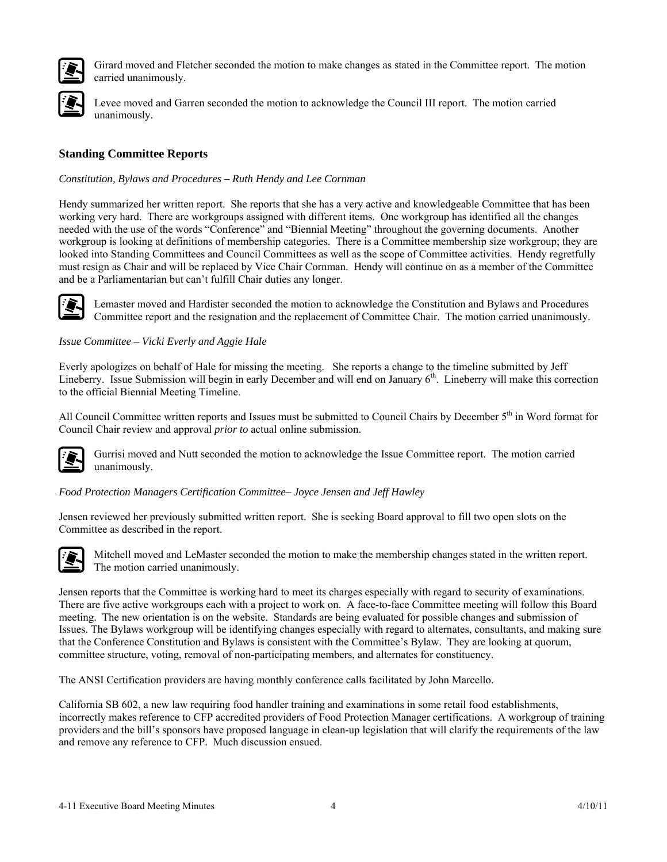

Girard moved and Fletcher seconded the motion to make changes as stated in the Committee report. The motion carried unanimously.



Levee m oved and Garren seconded the motion to acknowledge the Council III report. The motion carried unanimo usly.

## **Standing Committee Reports**

### *Constitution, Bylaws and Procedures – Ruth Hendy and Lee Cornman*

Hendy summarized her written report. She reports that she has a very active and knowledgeable Committee that has been working very hard. There are workgroups assigned with different items. One workgroup has identified all the changes needed with the use of the words "Conference" and "Biennial Meeting" throughout the governing documents. Another workgroup is looking at definitions of membership categories. There is a Committee membership size workgroup; they are looked into Standing Committees and Council Committees as well as the scope of Committee activities. Hendy regretfully must resign as Chair and will be replaced by Vice Chair Cornman. Hendy will continue on as a member of the Committee and be a Parliamentarian but can't fulfill Chair duties any longer.



Lemaster moved and Hardister seconded the motion to acknowledge the Constitution and Bylaws and Procedures Committee report and the resignation and the replacement of Committee Chair. The motion carried unanimously.

### *Issue Committee – Vicki Everly and Aggie Hale*

Everly apologizes on behalf of Hale for missing the meeting. She reports a change to the timeline submitted by Jeff Lineberry. Issue Submission will begin in early December and will end on January 6<sup>th</sup>. Lineberry will make this correction to the official Biennial Meeting Timeline.

All Council Committee written reports and Issues must be submitted to Council Chairs by December  $5<sup>th</sup>$  in Word format for Council Chair review and approval *prior to* actual online submission.



Gurrisi moved and Nutt seconded the motion to acknowledge the Issue Committee report. The motion carried unanimously.

### *Food Protection Managers Certification Committee– Joyce Jensen and Jeff Hawley*

Jensen reviewed her previously submitted written report. She is seeking Board approval to fill two open slots on the Committee as described in the report.



Mitchell moved and LeMaster seconded the motion to make the membership changes stated in the written report. The motion carried unanimously.

Jensen reports that the Committee is working hard to meet its charges especially with regard to security of examinations. There are five active workgroups each with a project to work on. A face-to-face Committee meeting will follow this Board meeting. The new orientation is on the website. Standards are being evaluated for possible changes and submission of Issues. The Bylaws workgroup will be identifying changes especially with regard to alternates, consultants, and making sure that the Conference Constitution and Bylaws is consistent with the Committee's Bylaw. They are looking at quorum, committee structure, voting, removal of non-participating members, and alternates for constituency.

The ANSI Certification providers are having monthly conference calls facilitated by John Marcello.

California SB 602, a new law requiring food handler training and examinations in some retail food establishments, incorrectly makes reference to CFP accredited providers of Food Protection Manager certifications. A workgroup of training providers and the bill's sponsors have proposed language in clean-up legislation that will clarify the requirements of the law and remove any reference to CFP. Much discussion ensued.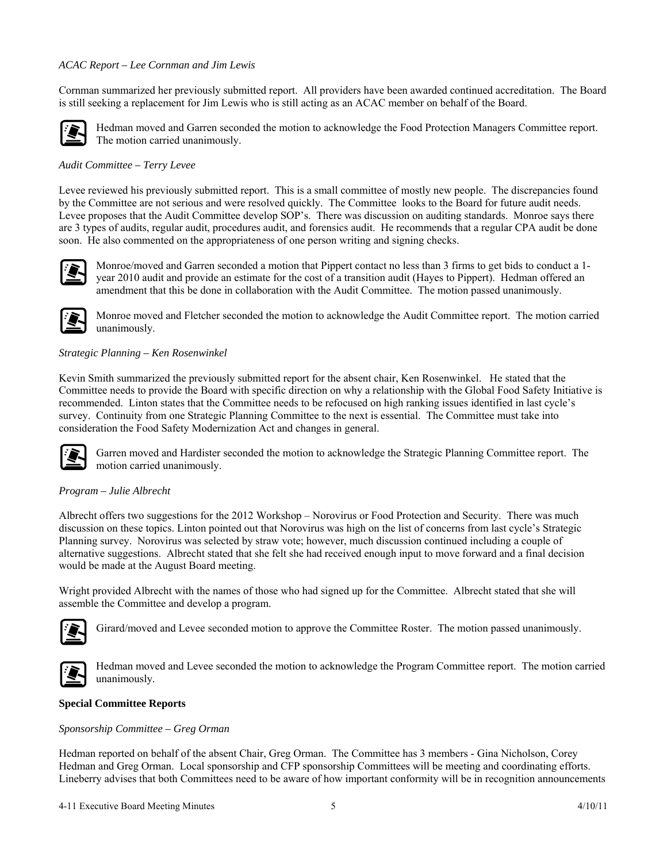### *ACAC Report – Lee Cornman and Jim Lewis*

Cornman summarized her previously submitted report. All providers have been awarded continued accreditation. The Board is still seeking a replacement for Jim Lewis who is still acting as an ACAC member on behalf of the Board.



Hedman moved and Garren seconded the motion to acknowledge the Food Protection Managers Committee report. The motion carried unanimously.

### *Audit Committee – Terry Levee*

Levee reviewed his previously submitted report. This is a small committee of mostly new people. The discrepancies found by the Committee are not serious and were resolved quickly. The Committee looks to the Board for future audit needs. Levee proposes that the Audit Committee develop SOP's. There was discussion on auditing standards. Monroe says there are 3 types of audits, regular audit, procedures audit, and forensics audit. He recommends that a regular CPA audit be done soon. He also commented on the appropriateness of one person writing and signing checks.



Monroe/moved and Garren seconded a motion that Pippert contact no less than 3 firms to get bids to conduct a 1 year 2010 audit and provide an estimate for the cost of a transition audit (Hayes to Pippert). Hedman offered an amendment that this be done in collaboration with the Audit Committee. The motion passed unanimously.



Monroe moved and Fletcher seconded the motion to acknowledge the Audit Committee report. The motion carried unanimously.

### *Strategic Planning – Ken Rosenwinkel*

Kevin Smith summarized the previously submitted report for the absent chair, Ken Rosenwinkel. He stated that the Committee needs to provide the Board with specific direction on why a relationship with the Global Food Safety Initiative is recommended. Linton states that the Committee needs to be refocused on high ranking issues identified in last cycle's survey. Continuity from one Strategic Planning Committee to the next is essential. The Committee must take into consideration the Food Safety Modernization Act and changes in general.



Garren moved and Hardister seconded the motion to acknowledge the Strategic Planning Committee report. The motion carried unanimously.

#### *Program – Julie Albrecht*

Albrecht offers two suggestions for the 2012 Workshop – Norovirus or Food Protection and Security. There was much discussion on these topics. Linton pointed out that Norovirus was high on the list of concerns from last cycle's Strategic Planning survey. Norovirus was selected by straw vote; however, much discussion continued including a couple of alternative suggestions. Albrecht stated that she felt she had received enough input to move forward and a final decision would be made at the August Board meeting.

Wright provided Albrecht with the names of those who had signed up for the Committee. Albrecht stated that she will assemble the Committee and develop a program.



Girard/moved and Levee seconded motion to approve the Committee Roster. The motion passed unanimously.



Hedman moved and Levee seconded the motion to acknowledge the Program Committee report. The motion carried unanimously.

#### **Special Committee Reports**

#### *Sponsorship Committee – Greg Orman*

Hedman reported on behalf of the absent Chair, Greg Orman. The Committee has 3 members - Gina Nicholson, Corey Hedman and Greg Orman. Local sponsorship and CFP sponsorship Committees will be meeting and coordinating efforts. Lineberry advises that both Committees need to be aware of how important conformity will be in recognition announcements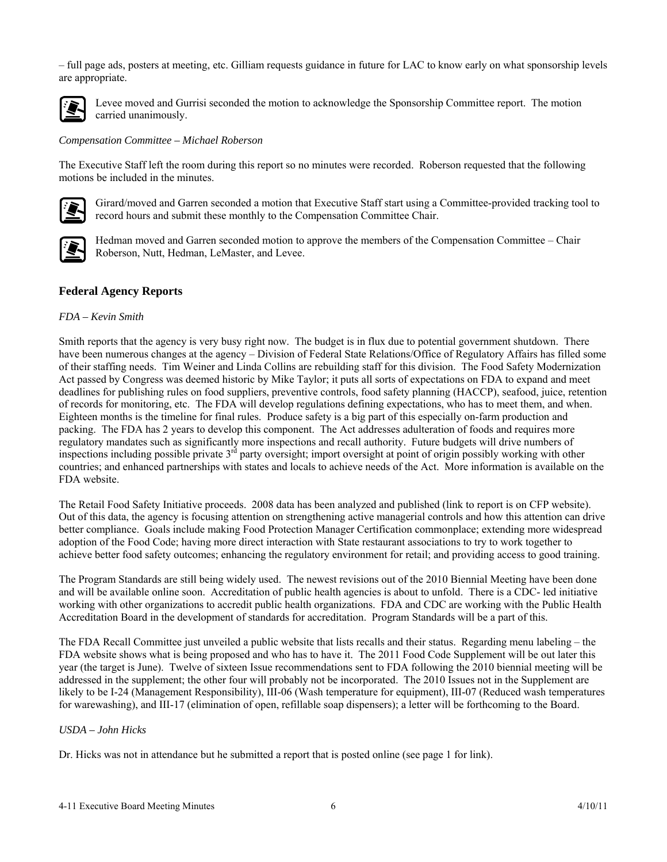– full page ads, posters at meeting, etc. Gilliam requests guidance in future for LAC to know early on what sponsorship levels are appropriate.



Levee moved and Gurrisi seconded the motion to acknowledge the Sponsorship Committee report. The motion carried unanimously.

#### *Compensation Committee – Michael Roberson*

The Executive Staff left the room during this report so no minutes were recorded. Roberson requested that the following motions be included in the minutes.



Girard/moved and Garren seconded a motion that Executive Staff start using a Committee-provided tracking tool to record hours and submit these monthly to the Compensation Committee Chair.



Hedman moved and Garren seconded motion to approve the members of the Compensation Committee – Chair Roberson, Nutt, Hedman, LeMaster, and Levee.

### **Federal Agency Reports**

#### *FDA – Kevin Smith*

Smith reports that the agency is very busy right now. The budget is in flux due to potential government shutdown. There have been numerous changes at the agency – Division of Federal State Relations/Office of Regulatory Affairs has filled some of their staffing needs. Tim Weiner and Linda Collins are rebuilding staff for this division. The Food Safety Modernization Act passed by Congress was deemed historic by Mike Taylor; it puts all sorts of expectations on FDA to expand and meet deadlines for publishing rules on food suppliers, preventive controls, food safety planning (HACCP), seafood, juice, retention of records for monitoring, etc. The FDA will develop regulations defining expectations, who has to meet them, and when. Eighteen months is the timeline for final rules. Produce safety is a big part of this especially on-farm production and packing. The FDA has 2 years to develop this component. The Act addresses adulteration of foods and requires more regulatory mandates such as significantly more inspections and recall authority. Future budgets will drive numbers of inspections including possible private 3<sup>rd</sup> party oversight; import oversight at point of origin possibly working with other countries; and enhanced partnerships with states and locals to achieve needs of the Act. More information is available on the FDA website.

The Retail Food Safety Initiative proceeds. 2008 data has been analyzed and published (link to report is on CFP website). Out of this data, the agency is focusing attention on strengthening active managerial controls and how this attention can drive better compliance. Goals include making Food Protection Manager Certification commonplace; extending more widespread adoption of the Food Code; having more direct interaction with State restaurant associations to try to work together to achieve better food safety outcomes; enhancing the regulatory environment for retail; and providing access to good training.

The Program Standards are still being widely used. The newest revisions out of the 2010 Biennial Meeting have been done and will be available online soon. Accreditation of public health agencies is about to unfold. There is a CDC- led initiative working with other organizations to accredit public health organizations. FDA and CDC are working with the Public Health Accreditation Board in the development of standards for accreditation. Program Standards will be a part of this.

The FDA Recall Committee just unveiled a public website that lists recalls and their status. Regarding menu labeling – the FDA website shows what is being proposed and who has to have it. The 2011 Food Code Supplement will be out later this year (the target is June). Twelve of sixteen Issue recommendations sent to FDA following the 2010 biennial meeting will be addressed in the supplement; the other four will probably not be incorporated. The 2010 Issues not in the Supplement are likely to be I-24 (Management Responsibility), III-06 (Wash temperature for equipment), III-07 (Reduced wash temperatures for warewashing), and III-17 (elimination of open, refillable soap dispensers); a letter will be forthcoming to the Board.

#### *USDA – John Hicks*

Dr. Hicks was not in attendance but he submitted a report that is posted online (see page 1 for link).